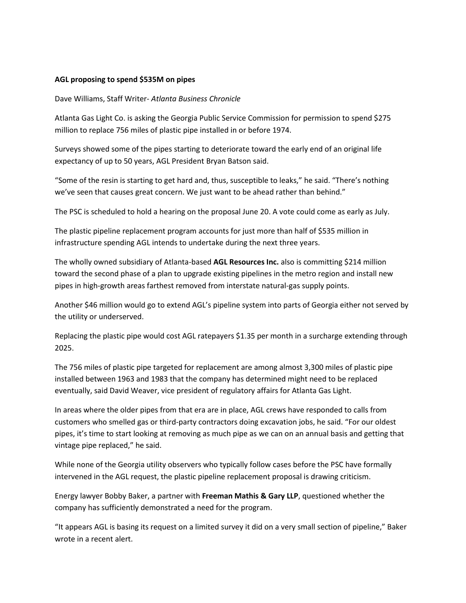## **AGL proposing to spend \$535M on pipes**

Dave Williams, Staff Writer- *Atlanta Business Chronicle*

Atlanta Gas Light Co. is asking the Georgia Public Service Commission for permission to spend \$275 million to replace 756 miles of plastic pipe installed in or before 1974.

Surveys showed some of the pipes starting to deteriorate toward the early end of an original life expectancy of up to 50 years, AGL President Bryan Batson said.

"Some of the resin is starting to get hard and, thus, susceptible to leaks," he said. "There's nothing we've seen that causes great concern. We just want to be ahead rather than behind."

The PSC is scheduled to hold a hearing on the proposal June 20. A vote could come as early as July.

The plastic pipeline replacement program accounts for just more than half of \$535 million in infrastructure spending AGL intends to undertake during the next three years.

The wholly owned subsidiary of Atlanta-based **AGL Resources Inc.** also is committing \$214 million toward the second phase of a plan to upgrade existing pipelines in the metro region and install new pipes in high-growth areas farthest removed from interstate natural-gas supply points.

Another \$46 million would go to extend AGL's pipeline system into parts of Georgia either not served by the utility or underserved.

Replacing the plastic pipe would cost AGL ratepayers \$1.35 per month in a surcharge extending through 2025.

The 756 miles of plastic pipe targeted for replacement are among almost 3,300 miles of plastic pipe installed between 1963 and 1983 that the company has determined might need to be replaced eventually, said David Weaver, vice president of regulatory affairs for Atlanta Gas Light.

In areas where the older pipes from that era are in place, AGL crews have responded to calls from customers who smelled gas or third-party contractors doing excavation jobs, he said. "For our oldest pipes, it's time to start looking at removing as much pipe as we can on an annual basis and getting that vintage pipe replaced," he said.

While none of the Georgia utility observers who typically follow cases before the PSC have formally intervened in the AGL request, the plastic pipeline replacement proposal is drawing criticism.

Energy lawyer Bobby Baker, a partner with **Freeman Mathis & Gary LLP**, questioned whether the company has sufficiently demonstrated a need for the program.

"It appears AGL is basing its request on a limited survey it did on a very small section of pipeline," Baker wrote in a recent alert.